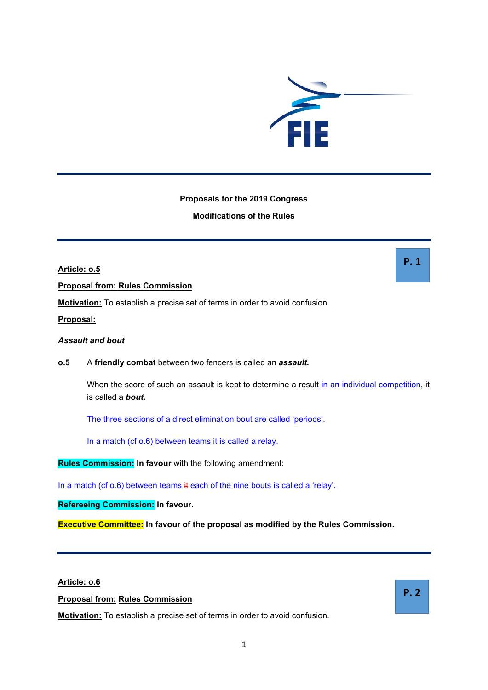

# **Proposals for the 2019 Congress**

# **Modifications of the Rules**

**Article: o.5 Proposal from: Rules Commission Motivation:** To establish a precise set of terms in order to avoid confusion.

**Proposal:**

## *Assault and bout*

## **o.5** A **friendly combat** between two fencers is called an *assault.*

When the score of such an assault is kept to determine a result in an individual competition, it is called a *bout.*

The three sections of a direct elimination bout are called 'periods'.

In a match (cf o.6) between teams it is called a relay.

**Rules Commission: In favour** with the following amendment:

In a match (cf o.6) between teams it each of the nine bouts is called a 'relay'.

**Refereeing Commission: In favour.**

**Executive Committee: In favour of the proposal as modified by the Rules Commission.**

# **Article: o.6**

**Proposal from: Rules Commission**

**Motivation:** To establish a precise set of terms in order to avoid confusion.

**P. 1**

**P. 2**

1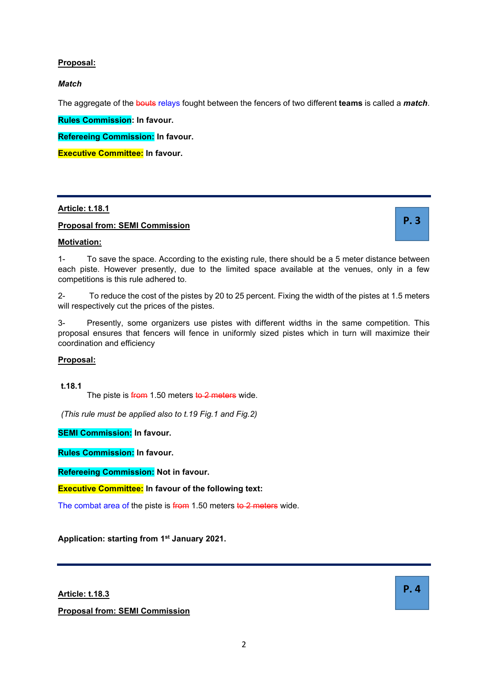# **Proposal:**

# *Match*

The aggregate of the bouts relays fought between the fencers of two different **teams** is called a *match*.

**Rules Commission: In favour.**

**Refereeing Commission: In favour.**

**Executive Committee: In favour.**

# **Article: t.18.1**

# **Proposal from: SEMI Commission**

**P. 3**

# **Motivation:**

1- To save the space. According to the existing rule, there should be a 5 meter distance between each piste. However presently, due to the limited space available at the venues, only in a few competitions is this rule adhered to.

2- To reduce the cost of the pistes by 20 to 25 percent. Fixing the width of the pistes at 1.5 meters will respectively cut the prices of the pistes.

3- Presently, some organizers use pistes with different widths in the same competition. This proposal ensures that fencers will fence in uniformly sized pistes which in turn will maximize their coordination and efficiency

# **Proposal:**

**t.18.1** 

The piste is from 1.50 meters to 2 meters wide.

*(This rule must be applied also to t.19 Fig.1 and Fig.2)*

**SEMI Commission: In favour.**

**Rules Commission: In favour.**

**Refereeing Commission: Not in favour.**

**Executive Committee: In favour of the following text:**

The combat area of the piste is from 1.50 meters to 2 meters wide.

**Application: starting from 1st January 2021.**

**Article: t.18.3**

**Proposal from: SEMI Commission**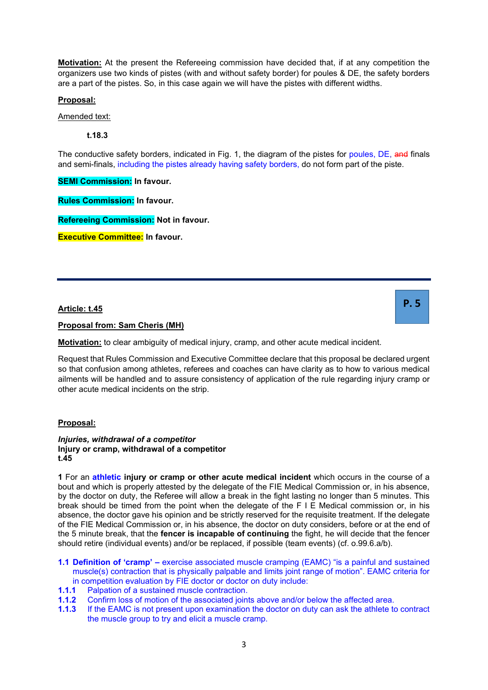**Motivation:** At the present the Refereeing commission have decided that, if at any competition the organizers use two kinds of pistes (with and without safety border) for poules & DE, the safety borders are a part of the pistes. So, in this case again we will have the pistes with different widths.

# **Proposal:**

Amended text:

**t.18.3** 

The conductive safety borders, indicated in Fig. 1, the diagram of the pistes for poules, DE, and finals and semi-finals, including the pistes already having safety borders, do not form part of the piste.

**SEMI Commission: In favour.**

**Rules Commission: In favour.**

**Refereeing Commission: Not in favour.**

**Executive Committee: In favour.**

# **Article: t.45**

**Proposal from: Sam Cheris (MH)**

**Motivation:** to clear ambiguity of medical injury, cramp, and other acute medical incident.

Request that Rules Commission and Executive Committee declare that this proposal be declared urgent so that confusion among athletes, referees and coaches can have clarity as to how to various medical ailments will be handled and to assure consistency of application of the rule regarding injury cramp or other acute medical incidents on the strip.

# **Proposal:**

*Injuries, withdrawal of a competitor*  **Injury or cramp, withdrawal of a competitor t.45** 

**1** For an **athletic injury or cramp or other acute medical incident** which occurs in the course of a bout and which is properly attested by the delegate of the FIE Medical Commission or, in his absence, by the doctor on duty, the Referee will allow a break in the fight lasting no longer than 5 minutes. This break should be timed from the point when the delegate of the F I E Medical commission or, in his absence, the doctor gave his opinion and be strictly reserved for the requisite treatment. If the delegate of the FIE Medical Commission or, in his absence, the doctor on duty considers, before or at the end of the 5 minute break, that the **fencer is incapable of continuing** the fight, he will decide that the fencer should retire (individual events) and/or be replaced, if possible (team events) (cf. o.99.6.a/b).

- **1.1 Definition of 'cramp' –** exercise associated muscle cramping (EAMC) "is a painful and sustained muscle(s) contraction that is physically palpable and limits joint range of motion". EAMC criteria for in competition evaluation by FIE doctor or doctor on duty include:
- **1.1.1** Palpation of a sustained muscle contraction.
- **1.1.2** Confirm loss of motion of the associated joints above and/or below the affected area.
- **1.1.3** If the EAMC is not present upon examination the doctor on duty can ask the athlete to contract the muscle group to try and elicit a muscle cramp.

3

**P. 5**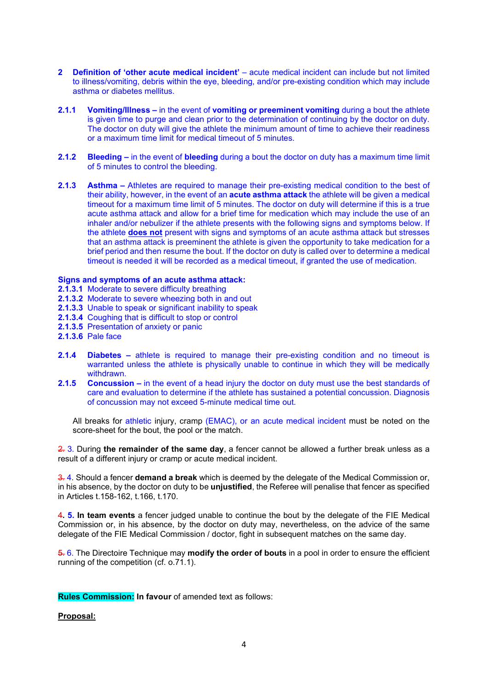- **2 Definition of 'other acute medical incident'**  acute medical incident can include but not limited to illness/vomiting, debris within the eye, bleeding, and/or pre-existing condition which may include asthma or diabetes mellitus.
- **2.1.1 Vomiting/Illness –** in the event of **vomiting or preeminent vomiting** during a bout the athlete is given time to purge and clean prior to the determination of continuing by the doctor on duty. The doctor on duty will give the athlete the minimum amount of time to achieve their readiness or a maximum time limit for medical timeout of 5 minutes.
- **2.1.2 Bleeding –** in the event of **bleeding** during a bout the doctor on duty has a maximum time limit of 5 minutes to control the bleeding.
- **2.1.3 Asthma –** Athletes are required to manage their pre-existing medical condition to the best of their ability, however, in the event of an **acute asthma attack** the athlete will be given a medical timeout for a maximum time limit of 5 minutes. The doctor on duty will determine if this is a true acute asthma attack and allow for a brief time for medication which may include the use of an inhaler and/or nebulizer if the athlete presents with the following signs and symptoms below. If the athlete **does not** present with signs and symptoms of an acute asthma attack but stresses that an asthma attack is preeminent the athlete is given the opportunity to take medication for a brief period and then resume the bout. If the doctor on duty is called over to determine a medical timeout is needed it will be recorded as a medical timeout, if granted the use of medication.

## **Signs and symptoms of an acute asthma attack:**

- **2.1.3.1** Moderate to severe difficulty breathing
- **2.1.3.2** Moderate to severe wheezing both in and out
- **2.1.3.3** Unable to speak or significant inability to speak
- **2.1.3.4** Coughing that is difficult to stop or control
- **2.1.3.5** Presentation of anxiety or panic
- **2.1.3.6** Pale face
- **2.1.4 Diabetes –** athlete is required to manage their pre-existing condition and no timeout is warranted unless the athlete is physically unable to continue in which they will be medically withdrawn.
- **2.1.5 Concussion –** in the event of a head injury the doctor on duty must use the best standards of care and evaluation to determine if the athlete has sustained a potential concussion. Diagnosis of concussion may not exceed 5-minute medical time out.

All breaks for athletic injury, cramp (EMAC), or an acute medical incident must be noted on the score-sheet for the bout, the pool or the match.

2. 3. During **the remainder of the same day**, a fencer cannot be allowed a further break unless as a result of a different injury or cramp or acute medical incident.

3. 4. Should a fencer **demand a break** which is deemed by the delegate of the Medical Commission or, in his absence, by the doctor on duty to be **unjustified**, the Referee will penalise that fencer as specified in Articles t.158-162, t.166, t.170.

4**. 5. In team events** a fencer judged unable to continue the bout by the delegate of the FIE Medical Commission or, in his absence, by the doctor on duty may, nevertheless, on the advice of the same delegate of the FIE Medical Commission / doctor, fight in subsequent matches on the same day.

5. 6. The Directoire Technique may **modify the order of bouts** in a pool in order to ensure the efficient running of the competition (cf. o.71.1).

**Rules Commission: In favour** of amended text as follows:

#### **Proposal:**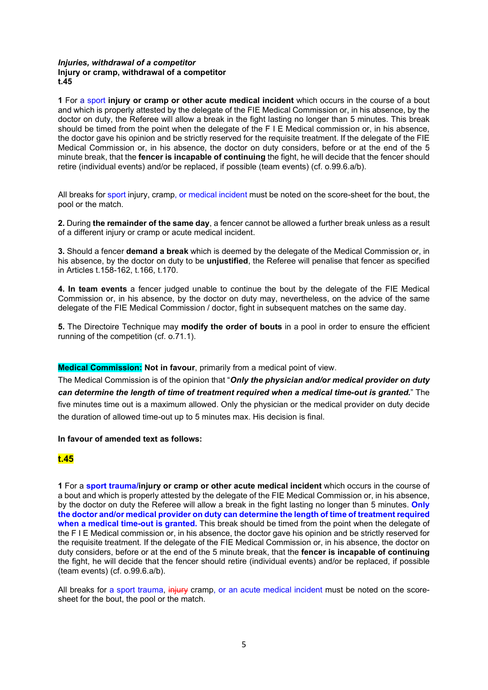## *Injuries, withdrawal of a competitor*  **Injury or cramp, withdrawal of a competitor t.45**

**1** For a sport **injury or cramp or other acute medical incident** which occurs in the course of a bout and which is properly attested by the delegate of the FIE Medical Commission or, in his absence, by the doctor on duty, the Referee will allow a break in the fight lasting no longer than 5 minutes. This break should be timed from the point when the delegate of the F I E Medical commission or, in his absence, the doctor gave his opinion and be strictly reserved for the requisite treatment. If the delegate of the FIE Medical Commission or, in his absence, the doctor on duty considers, before or at the end of the 5 minute break, that the **fencer is incapable of continuing** the fight, he will decide that the fencer should retire (individual events) and/or be replaced, if possible (team events) (cf. o.99.6.a/b).

All breaks for sport injury, cramp, or medical incident must be noted on the score-sheet for the bout, the pool or the match.

**2.** During **the remainder of the same day**, a fencer cannot be allowed a further break unless as a result of a different injury or cramp or acute medical incident.

**3.** Should a fencer **demand a break** which is deemed by the delegate of the Medical Commission or, in his absence, by the doctor on duty to be **unjustified**, the Referee will penalise that fencer as specified in Articles t.158-162, t.166, t.170.

**4. In team events** a fencer judged unable to continue the bout by the delegate of the FIE Medical Commission or, in his absence, by the doctor on duty may, nevertheless, on the advice of the same delegate of the FIE Medical Commission / doctor, fight in subsequent matches on the same day.

**5.** The Directoire Technique may **modify the order of bouts** in a pool in order to ensure the efficient running of the competition (cf. o.71.1).

# **Medical Commission: Not in favour**, primarily from a medical point of view.

The Medical Commission is of the opinion that "*Only the physician and/or medical provider on duty can determine the length of time of treatment required when a medical time-out is granted.*" The five minutes time out is a maximum allowed. Only the physician or the medical provider on duty decide the duration of allowed time-out up to 5 minutes max. His decision is final.

## **In favour of amended text as follows:**

# **t.45**

**1** For a **sport trauma/injury or cramp or other acute medical incident** which occurs in the course of a bout and which is properly attested by the delegate of the FIE Medical Commission or, in his absence, by the doctor on duty the Referee will allow a break in the fight lasting no longer than 5 minutes. **Only the doctor and/or medical provider on duty can determine the length of time of treatment required when a medical time-out is granted.** This break should be timed from the point when the delegate of the F I E Medical commission or, in his absence, the doctor gave his opinion and be strictly reserved for the requisite treatment. If the delegate of the FIE Medical Commission or, in his absence, the doctor on duty considers, before or at the end of the 5 minute break, that the **fencer is incapable of continuing**  the fight, he will decide that the fencer should retire (individual events) and/or be replaced, if possible (team events) (cf. o.99.6.a/b).

All breaks for a sport trauma, injury cramp, or an acute medical incident must be noted on the scoresheet for the bout, the pool or the match.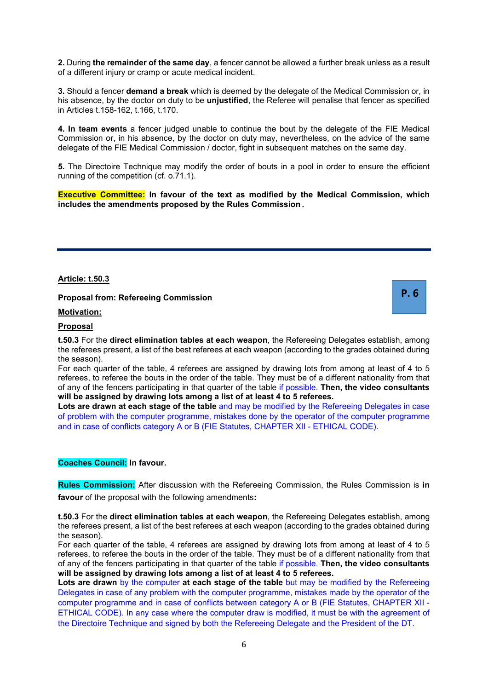**2.** During **the remainder of the same day**, a fencer cannot be allowed a further break unless as a result of a different injury or cramp or acute medical incident.

**3.** Should a fencer **demand a break** which is deemed by the delegate of the Medical Commission or, in his absence, by the doctor on duty to be **unjustified**, the Referee will penalise that fencer as specified in Articles t.158-162, t.166, t.170.

**4. In team events** a fencer judged unable to continue the bout by the delegate of the FIE Medical Commission or, in his absence, by the doctor on duty may, nevertheless, on the advice of the same delegate of the FIE Medical Commission / doctor, fight in subsequent matches on the same day.

**5.** The Directoire Technique may modify the order of bouts in a pool in order to ensure the efficient running of the competition (cf. o.71.1).

**Executive Committee: In favour of the text as modified by the Medical Commission, which includes the amendments proposed by the Rules Commission.**

**Article: t.50.3**

**Proposal from: Refereeing Commission**

**Motivation:**

## **Proposal**

**t.50.3** For the **direct elimination tables at each weapon**, the Refereeing Delegates establish, among the referees present, a list of the best referees at each weapon (according to the grades obtained during the season).

For each quarter of the table, 4 referees are assigned by drawing lots from among at least of 4 to 5 referees, to referee the bouts in the order of the table. They must be of a different nationality from that of any of the fencers participating in that quarter of the table if possible. **Then, the video consultants will be assigned by drawing lots among a list of at least 4 to 5 referees.** 

Lots are drawn at each stage of the table and may be modified by the Refereeing Delegates in case of problem with the computer programme, mistakes done by the operator of the computer programme and in case of conflicts category A or B (FIE Statutes, CHAPTER XII - ETHICAL CODE).

## **Coaches Council: In favour.**

**Rules Commission:** After discussion with the Refereeing Commission, the Rules Commission is **in favour** of the proposal with the following amendments**:**

**t.50.3** For the **direct elimination tables at each weapon**, the Refereeing Delegates establish, among the referees present, a list of the best referees at each weapon (according to the grades obtained during the season).

For each quarter of the table, 4 referees are assigned by drawing lots from among at least of 4 to 5 referees, to referee the bouts in the order of the table. They must be of a different nationality from that of any of the fencers participating in that quarter of the table if possible. **Then, the video consultants will be assigned by drawing lots among a list of at least 4 to 5 referees.** 

Lots are drawn by the computer at each stage of the table but may be modified by the Refereeing Delegates in case of any problem with the computer programme, mistakes made by the operator of the computer programme and in case of conflicts between category A or B (FIE Statutes, CHAPTER XII - ETHICAL CODE). In any case where the computer draw is modified, it must be with the agreement of the Directoire Technique and signed by both the Refereeing Delegate and the President of the DT.

**P. 6**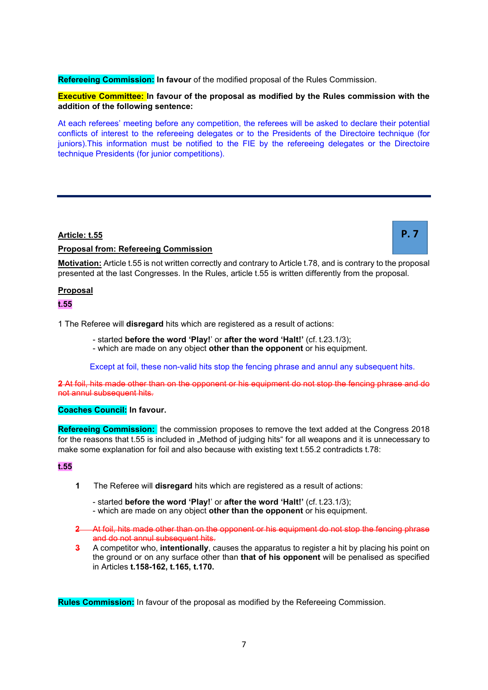**Refereeing Commission: In favour** of the modified proposal of the Rules Commission.

# **Executive Committee: In favour of the proposal as modified by the Rules commission with the addition of the following sentence:**

At each referees' meeting before any competition, the referees will be asked to declare their potential conflicts of interest to the refereeing delegates or to the Presidents of the Directoire technique (for juniors).This information must be notified to the FIE by the refereeing delegates or the Directoire technique Presidents (for junior competitions).

# **Article: t.55**

# **Proposal from: Refereeing Commission**

**P. 7**

**Motivation:** Article t.55 is not written correctly and contrary to Article t.78, and is contrary to the proposal presented at the last Congresses. In the Rules, article t.55 is written differently from the proposal.

## **Proposal**

## **t.55**

1 The Referee will **disregard** hits which are registered as a result of actions:

- started **before the word 'Play!**' or **after the word 'Halt!'** (cf. t.23.1/3);

- which are made on any object **other than the opponent** or his equipment.

Except at foil, these non-valid hits stop the fencing phrase and annul any subsequent hits.

**2** At foil, hits made other than on the opponent or his equipment do not stop the fencing phrase and do not annul subsequent hits.

## **Coaches Council: In favour.**

**Refereeing Commission:** the commission proposes to remove the text added at the Congress 2018 for the reasons that t.55 is included in "Method of judging hits" for all weapons and it is unnecessary to make some explanation for foil and also because with existing text t.55.2 contradicts t.78:

## **t.55**

- **1** The Referee will **disregard** hits which are registered as a result of actions:
	- started **before the word 'Play!**' or **after the word 'Halt!'** (cf. t.23.1/3);
	- which are made on any object **other than the opponent** or his equipment.
- **2** At foil, hits made other than on the opponent or his equipment do not stop the fencing phrase and do not annul subsequent hits.
- **3** A competitor who, **intentionally**, causes the apparatus to register a hit by placing his point on the ground or on any surface other than **that of his opponent** will be penalised as specified in Articles **t.158-162, t.165, t.170.**

**Rules Commission:** In favour of the proposal as modified by the Refereeing Commission.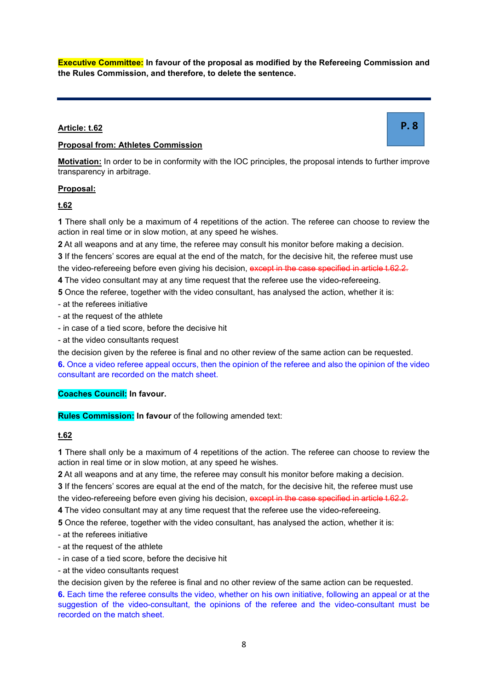**Executive Committee: In favour of the proposal as modified by the Refereeing Commission and the Rules Commission, and therefore, to delete the sentence.**

# **Article: t.62**

## **Proposal from: Athletes Commission**

**Motivation:** In order to be in conformity with the IOC principles, the proposal intends to further improve transparency in arbitrage.

## **Proposal:**

# **t.62**

**1** There shall only be a maximum of 4 repetitions of the action. The referee can choose to review the action in real time or in slow motion, at any speed he wishes.

**2** At all weapons and at any time, the referee may consult his monitor before making a decision.

**3** If the fencers' scores are equal at the end of the match, for the decisive hit, the referee must use the video-refereeing before even giving his decision, except in the case specified in article t.62.2.

**4** The video consultant may at any time request that the referee use the video-refereeing.

**5** Once the referee, together with the video consultant, has analysed the action, whether it is:

- at the referees initiative
- at the request of the athlete
- in case of a tied score, before the decisive hit
- at the video consultants request

the decision given by the referee is final and no other review of the same action can be requested.

**6.** Once a video referee appeal occurs, then the opinion of the referee and also the opinion of the video consultant are recorded on the match sheet.

# **Coaches Council: In favour.**

**Rules Commission: In favour** of the following amended text:

# **t.62**

**1** There shall only be a maximum of 4 repetitions of the action. The referee can choose to review the action in real time or in slow motion, at any speed he wishes.

**2** At all weapons and at any time, the referee may consult his monitor before making a decision. **3** If the fencers' scores are equal at the end of the match, for the decisive hit, the referee must use the video-refereeing before even giving his decision, except in the case specified in article t.62.2.

**4** The video consultant may at any time request that the referee use the video-refereeing.

**5** Once the referee, together with the video consultant, has analysed the action, whether it is:

- at the referees initiative
- at the request of the athlete
- in case of a tied score, before the decisive hit
- at the video consultants request

the decision given by the referee is final and no other review of the same action can be requested.

**6.** Each time the referee consults the video, whether on his own initiative, following an appeal or at the suggestion of the video-consultant, the opinions of the referee and the video-consultant must be recorded on the match sheet.

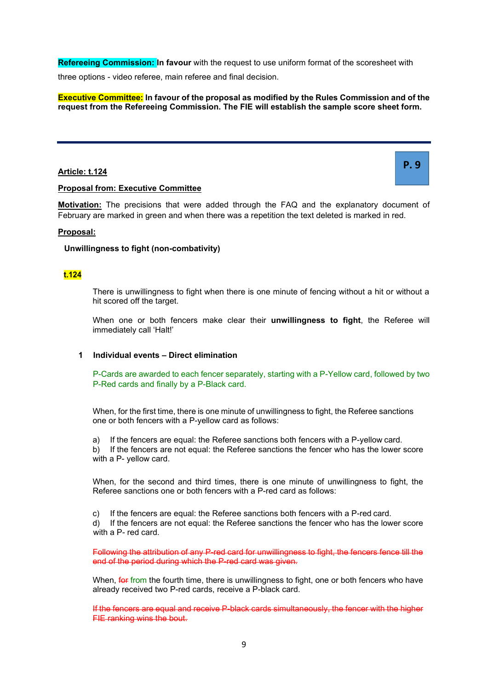**Refereeing Commission: In favour** with the request to use uniform format of the scoresheet with

three options - video referee, main referee and final decision.

**Executive Committee: In favour of the proposal as modified by the Rules Commission and of the request from the Refereeing Commission. The FIE will establish the sample score sheet form.**

# **Article: t.124**

# **P. 9**

## **Proposal from: Executive Committee**

**Motivation:** The precisions that were added through the FAQ and the explanatory document of February are marked in green and when there was a repetition the text deleted is marked in red.

## **Proposal:**

## **Unwillingness to fight (non-combativity)**

# **t.124**

There is unwillingness to fight when there is one minute of fencing without a hit or without a hit scored off the target.

When one or both fencers make clear their **unwillingness to fight**, the Referee will immediately call 'Halt!'

# **1 Individual events – Direct elimination**

P-Cards are awarded to each fencer separately, starting with a P-Yellow card, followed by two P-Red cards and finally by a P-Black card.

When, for the first time, there is one minute of unwillingness to fight, the Referee sanctions one or both fencers with a P-yellow card as follows:

a) If the fencers are equal: the Referee sanctions both fencers with a P-yellow card. b) If the fencers are not equal: the Referee sanctions the fencer who has the lower score with a P- yellow card.

When, for the second and third times, there is one minute of unwillingness to fight, the Referee sanctions one or both fencers with a P-red card as follows:

c) If the fencers are equal: the Referee sanctions both fencers with a P-red card. d) If the fencers are not equal: the Referee sanctions the fencer who has the lower score with a P- red card.

Following the attribution of any P-red card for unwillingness to fight, the fencers fence till the end of the period during which the P-red card was given.

When, for from the fourth time, there is unwillingness to fight, one or both fencers who have already received two P-red cards, receive a P-black card.

If the fencers are equal and receive P-black cards simultaneously, the fencer with the higher FIE ranking wins the bout.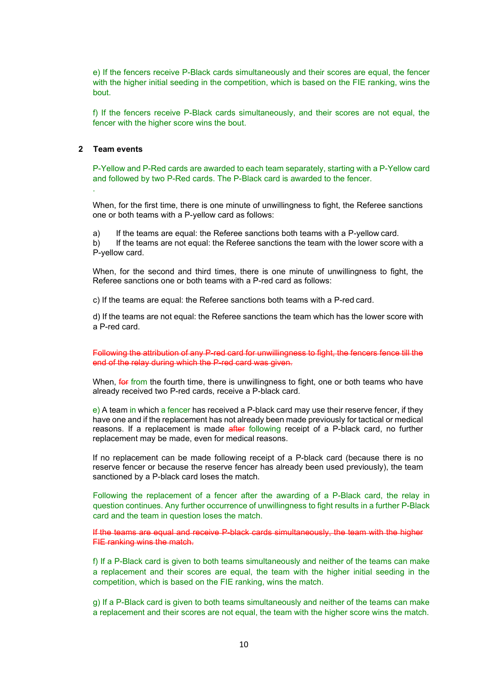e) If the fencers receive P-Black cards simultaneously and their scores are equal, the fencer with the higher initial seeding in the competition, which is based on the FIE ranking, wins the bout.

f) If the fencers receive P-Black cards simultaneously, and their scores are not equal, the fencer with the higher score wins the bout.

## **2 Team events**

.

P-Yellow and P-Red cards are awarded to each team separately, starting with a P-Yellow card and followed by two P-Red cards. The P-Black card is awarded to the fencer.

When, for the first time, there is one minute of unwillingness to fight, the Referee sanctions one or both teams with a P-yellow card as follows:

a) If the teams are equal: the Referee sanctions both teams with a P-yellow card.

b) If the teams are not equal: the Referee sanctions the team with the lower score with a P-yellow card.

When, for the second and third times, there is one minute of unwillingness to fight, the Referee sanctions one or both teams with a P-red card as follows:

c) If the teams are equal: the Referee sanctions both teams with a P-red card.

d) If the teams are not equal: the Referee sanctions the team which has the lower score with a P-red card.

Following the attribution of any P-red card for unwillingness to fight, the fencers fence till the end of the relay during which the P-red card was given.

When, for from the fourth time, there is unwillingness to fight, one or both teams who have already received two P-red cards, receive a P-black card.

e) A team in which a fencer has received a P-black card may use their reserve fencer, if they have one and if the replacement has not already been made previously for tactical or medical reasons. If a replacement is made after following receipt of a P-black card, no further replacement may be made, even for medical reasons.

If no replacement can be made following receipt of a P-black card (because there is no reserve fencer or because the reserve fencer has already been used previously), the team sanctioned by a P-black card loses the match.

Following the replacement of a fencer after the awarding of a P-Black card, the relay in question continues. Any further occurrence of unwillingness to fight results in a further P-Black card and the team in question loses the match.

If the teams are equal and receive P-black cards simultaneously, the team with the higher FIE ranking wins the match.

f) If a P-Black card is given to both teams simultaneously and neither of the teams can make a replacement and their scores are equal, the team with the higher initial seeding in the competition, which is based on the FIE ranking, wins the match.

g) If a P-Black card is given to both teams simultaneously and neither of the teams can make a replacement and their scores are not equal, the team with the higher score wins the match.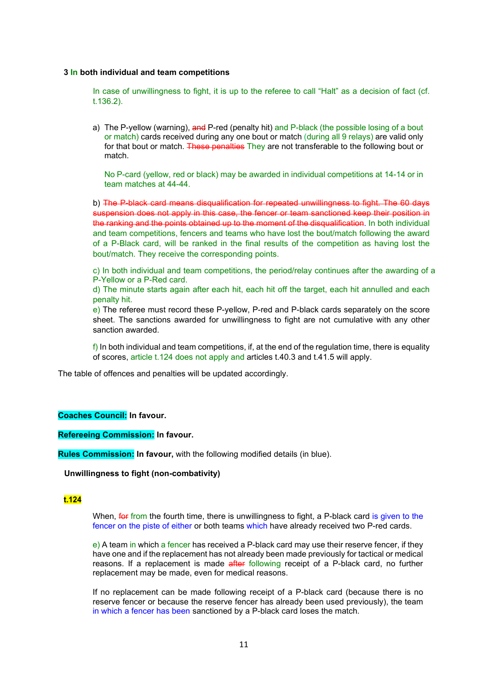#### **3 In both individual and team competitions**

In case of unwillingness to fight, it is up to the referee to call "Halt" as a decision of fact (cf. t.136.2).

a) The P-yellow (warning), and P-red (penalty hit) and P-black (the possible losing of a bout or match) cards received during any one bout or match (during all 9 relays) are valid only for that bout or match. These penalties They are not transferable to the following bout or match.

No P-card (yellow, red or black) may be awarded in individual competitions at 14-14 or in team matches at 44-44.

b) The P-black card means disqualification for repeated unwillingness to fight. The 60 days suspension does not apply in this case, the fencer or team sanctioned keep their position in the ranking and the points obtained up to the moment of the disqualification. In both individual and team competitions, fencers and teams who have lost the bout/match following the award of a P-Black card, will be ranked in the final results of the competition as having lost the bout/match. They receive the corresponding points.

c) In both individual and team competitions, the period/relay continues after the awarding of a P-Yellow or a P-Red card.

d) The minute starts again after each hit, each hit off the target, each hit annulled and each penalty hit.

e) The referee must record these P-yellow, P-red and P-black cards separately on the score sheet. The sanctions awarded for unwillingness to fight are not cumulative with any other sanction awarded.

f) In both individual and team competitions, if, at the end of the regulation time, there is equality of scores, article t.124 does not apply and articles t.40.3 and t.41.5 will apply.

The table of offences and penalties will be updated accordingly.

#### **Coaches Council: In favour.**

**Refereeing Commission: In favour.**

**Rules Commission: In favour,** with the following modified details (in blue).

#### **Unwillingness to fight (non-combativity)**

## **t.124**

When, for from the fourth time, there is unwillingness to fight, a P-black card is given to the fencer on the piste of either or both teams which have already received two P-red cards.

e) A team in which a fencer has received a P-black card may use their reserve fencer, if they have one and if the replacement has not already been made previously for tactical or medical reasons. If a replacement is made after following receipt of a P-black card, no further replacement may be made, even for medical reasons.

If no replacement can be made following receipt of a P-black card (because there is no reserve fencer or because the reserve fencer has already been used previously), the team in which a fencer has been sanctioned by a P-black card loses the match.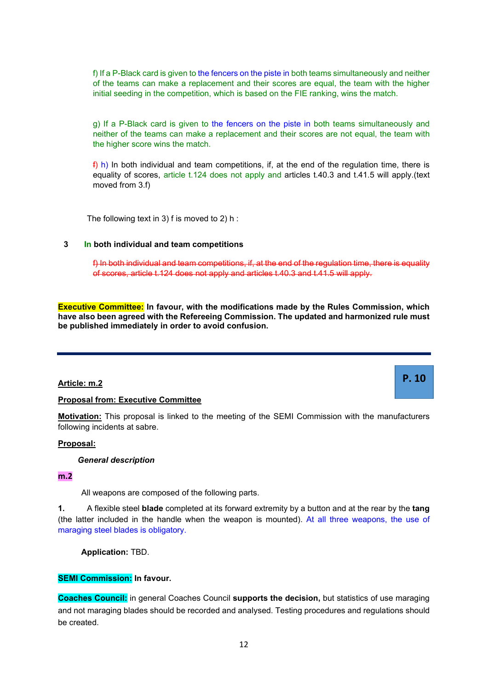f) If a P-Black card is given to the fencers on the piste in both teams simultaneously and neither of the teams can make a replacement and their scores are equal, the team with the higher initial seeding in the competition, which is based on the FIE ranking, wins the match.

g) If a P-Black card is given to the fencers on the piste in both teams simultaneously and neither of the teams can make a replacement and their scores are not equal, the team with the higher score wins the match.

 $f$ ) h) In both individual and team competitions, if, at the end of the regulation time, there is equality of scores, article t.124 does not apply and articles t.40.3 and t.41.5 will apply.(text moved from 3.f)

The following text in 3) f is moved to 2) h :

## **3 In both individual and team competitions**

f) In both individual and team competitions, if, at the end of the regulation time, there is equality of scores, article t.124 does not apply and articles t.40.3 and t.41.5 will apply.

**P. 10**

**Executive Committee: In favour, with the modifications made by the Rules Commission, which have also been agreed with the Refereeing Commission. The updated and harmonized rule must be published immediately in order to avoid confusion.**

## **Article: m.2**

# **Proposal from: Executive Committee**

**Motivation:** This proposal is linked to the meeting of the SEMI Commission with the manufacturers following incidents at sabre.

# **Proposal:**

*General description*

## **m.2**

All weapons are composed of the following parts.

**1.** A flexible steel **blade** completed at its forward extremity by a button and at the rear by the **tang**  (the latter included in the handle when the weapon is mounted). At all three weapons, the use of maraging steel blades is obligatory.

**Application:** TBD.

## **SEMI Commission: In favour.**

**Coaches Council:** in general Coaches Council **supports the decision,** but statistics of use maraging and not maraging blades should be recorded and analysed. Testing procedures and regulations should be created.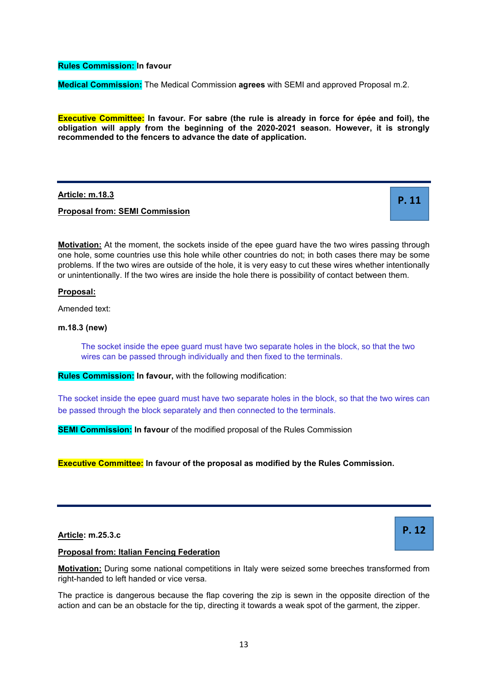**Rules Commission: In favour**

**Medical Commission:** The Medical Commission **agrees** with SEMI and approved Proposal m.2.

**Executive Committee: In favour. For sabre (the rule is already in force for épée and foil), the obligation will apply from the beginning of the 2020-2021 season. However, it is strongly recommended to the fencers to advance the date of application.**

**Article: m.18.3**

**Proposal from: SEMI Commission**

**Motivation:** At the moment, the sockets inside of the epee guard have the two wires passing through one hole, some countries use this hole while other countries do not; in both cases there may be some problems. If the two wires are outside of the hole, it is very easy to cut these wires whether intentionally or unintentionally. If the two wires are inside the hole there is possibility of contact between them.

**Proposal:** 

Amended text:

**m.18.3 (new)** 

The socket inside the epee guard must have two separate holes in the block, so that the two wires can be passed through individually and then fixed to the terminals.

**Rules Commission: In favour,** with the following modification:

The socket inside the epee guard must have two separate holes in the block, so that the two wires can be passed through the block separately and then connected to the terminals.

**SEMI Commission:** In favour of the modified proposal of the Rules Commission

**Executive Committee: In favour of the proposal as modified by the Rules Commission.**

**Article: m.25.3.c**

**P. 12**

**P. 11**

# **Proposal from: Italian Fencing Federation**

**Motivation:** During some national competitions in Italy were seized some breeches transformed from right-handed to left handed or vice versa.

The practice is dangerous because the flap covering the zip is sewn in the opposite direction of the action and can be an obstacle for the tip, directing it towards a weak spot of the garment, the zipper.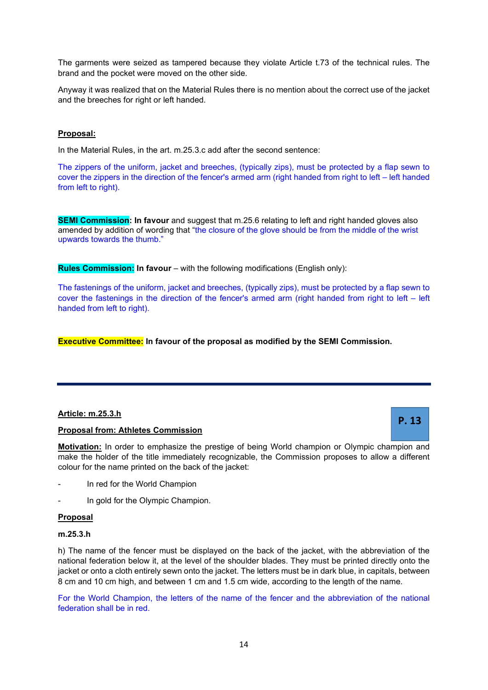The garments were seized as tampered because they violate Article t.73 of the technical rules. The brand and the pocket were moved on the other side.

Anyway it was realized that on the Material Rules there is no mention about the correct use of the jacket and the breeches for right or left handed.

# **Proposal:**

In the Material Rules, in the art. m.25.3.c add after the second sentence:

The zippers of the uniform, jacket and breeches, (typically zips), must be protected by a flap sewn to cover the zippers in the direction of the fencer's armed arm (right handed from right to left – left handed from left to right).

**SEMI Commission: In favour** and suggest that m.25.6 relating to left and right handed gloves also amended by addition of wording that "the closure of the glove should be from the middle of the wrist upwards towards the thumb."

**Rules Commission:** In favour – with the following modifications (English only):

The fastenings of the uniform, jacket and breeches, (typically zips), must be protected by a flap sewn to cover the fastenings in the direction of the fencer's armed arm (right handed from right to left – left handed from left to right).

**Executive Committee: In favour of the proposal as modified by the SEMI Commission.**

# **Article: m.25.3.h**

# **Proposal from: Athletes Commission**

**Motivation:** In order to emphasize the prestige of being World champion or Olympic champion and make the holder of the title immediately recognizable, the Commission proposes to allow a different colour for the name printed on the back of the jacket:

- In red for the World Champion
- In gold for the Olympic Champion.

# **Proposal**

# **m.25.3.h**

h) The name of the fencer must be displayed on the back of the jacket, with the abbreviation of the national federation below it, at the level of the shoulder blades. They must be printed directly onto the jacket or onto a cloth entirely sewn onto the jacket. The letters must be in dark blue, in capitals, between 8 cm and 10 cm high, and between 1 cm and 1.5 cm wide, according to the length of the name.

For the World Champion, the letters of the name of the fencer and the abbreviation of the national federation shall be in red.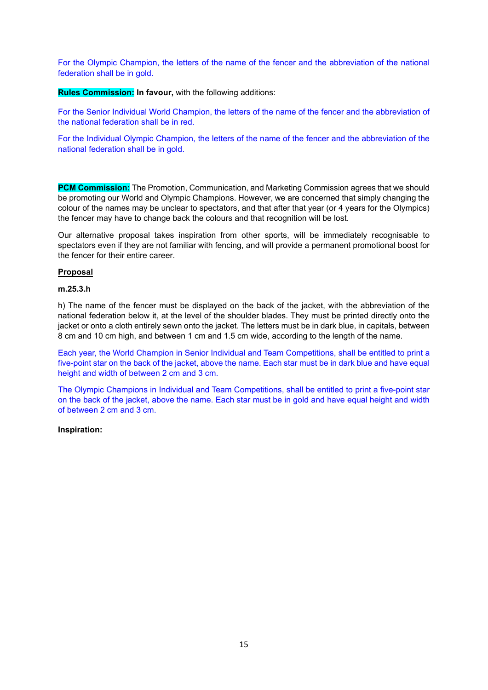For the Olympic Champion, the letters of the name of the fencer and the abbreviation of the national federation shall be in gold.

**Rules Commission: In favour,** with the following additions:

For the Senior Individual World Champion, the letters of the name of the fencer and the abbreviation of the national federation shall be in red.

For the Individual Olympic Champion, the letters of the name of the fencer and the abbreviation of the national federation shall be in gold.

**PCM Commission:** The Promotion, Communication, and Marketing Commission agrees that we should be promoting our World and Olympic Champions. However, we are concerned that simply changing the colour of the names may be unclear to spectators, and that after that year (or 4 years for the Olympics) the fencer may have to change back the colours and that recognition will be lost.

Our alternative proposal takes inspiration from other sports, will be immediately recognisable to spectators even if they are not familiar with fencing, and will provide a permanent promotional boost for the fencer for their entire career.

## **Proposal**

## **m.25.3.h**

h) The name of the fencer must be displayed on the back of the jacket, with the abbreviation of the national federation below it, at the level of the shoulder blades. They must be printed directly onto the jacket or onto a cloth entirely sewn onto the jacket. The letters must be in dark blue, in capitals, between 8 cm and 10 cm high, and between 1 cm and 1.5 cm wide, according to the length of the name.

Each year, the World Champion in Senior Individual and Team Competitions, shall be entitled to print a five-point star on the back of the jacket, above the name. Each star must be in dark blue and have equal height and width of between 2 cm and 3 cm.

The Olympic Champions in Individual and Team Competitions, shall be entitled to print a five-point star on the back of the jacket, above the name. Each star must be in gold and have equal height and width of between 2 cm and 3 cm.

## **Inspiration:**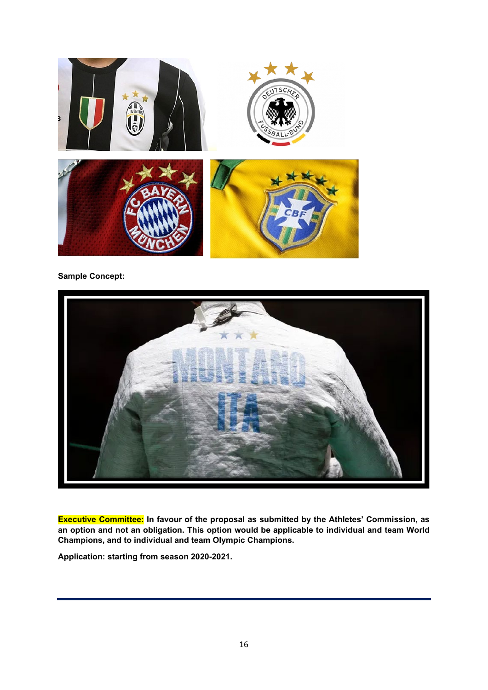

# **Sample Concept:**



**Executive Committee: In favour of the proposal as submitted by the Athletes' Commission, as an option and not an obligation. This option would be applicable to individual and team World Champions, and to individual and team Olympic Champions.**

**Application: starting from season 2020-2021.**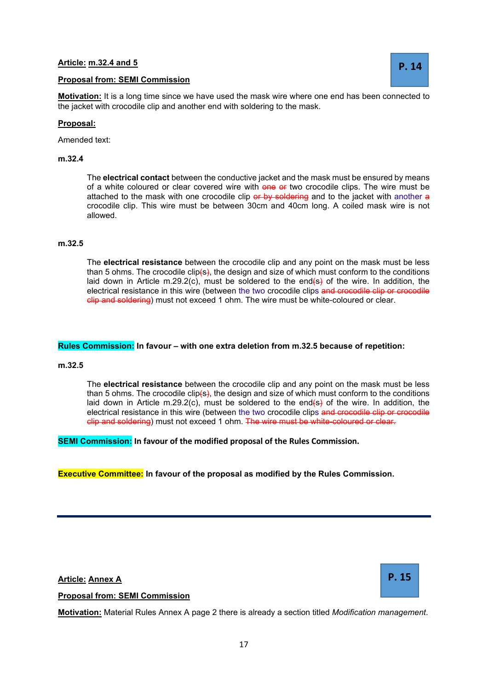# **Article: m.32.4 and 5**

# **Proposal from: SEMI Commission**

**Motivation:** It is a long time since we have used the mask wire where one end has been connected to the jacket with crocodile clip and another end with soldering to the mask.

## **Proposal:**

Amended text:

## **m.32.4**

The **electrical contact** between the conductive jacket and the mask must be ensured by means of a white coloured or clear covered wire with one or two crocodile clips. The wire must be attached to the mask with one crocodile clip or by soldering and to the jacket with another a crocodile clip. This wire must be between 30cm and 40cm long. A coiled mask wire is not allowed.

## **m.32.5**

The **electrical resistance** between the crocodile clip and any point on the mask must be less than 5 ohms. The crocodile clip(s), the design and size of which must conform to the conditions laid down in Article m.29.2(c), must be soldered to the end(s) of the wire. In addition, the electrical resistance in this wire (between the two crocodile clips and crocodile clip or crocodile clip and soldering) must not exceed 1 ohm. The wire must be white-coloured or clear.

## **Rules Commission: In favour – with one extra deletion from m.32.5 because of repetition:**

#### **m.32.5**

The **electrical resistance** between the crocodile clip and any point on the mask must be less than 5 ohms. The crocodile clip( $s$ ), the design and size of which must conform to the conditions laid down in Article m.29.2(c), must be soldered to the end(s) of the wire. In addition, the electrical resistance in this wire (between the two crocodile clips and crocodile clip or crocodile clip and soldering) must not exceed 1 ohm. The wire must be white-coloured or clear.

**SEMI Commission: In favour of the modified proposal of the Rules Commission.**

## **Executive Committee: In favour of the proposal as modified by the Rules Commission.**

**Article: Annex A**

**Proposal from: SEMI Commission**

**Motivation:** Material Rules Annex A page 2 there is already a section titled *Modification management*.

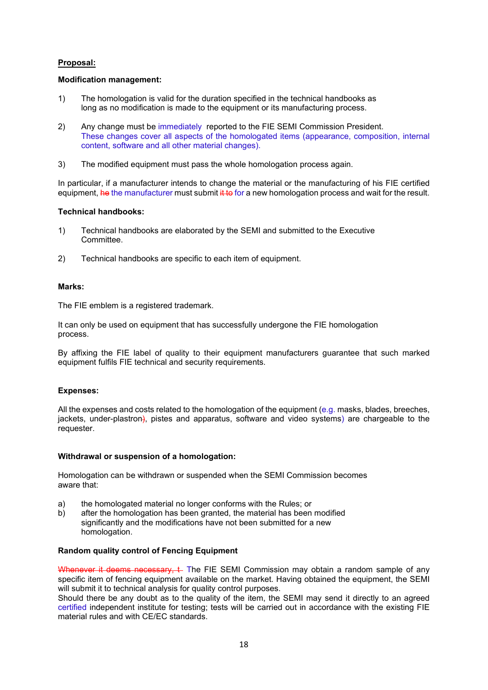# **Proposal:**

# **Modification management:**

- 1) The homologation is valid for the duration specified in the technical handbooks as long as no modification is made to the equipment or its manufacturing process.
- 2) Any change must be immediately reported to the FIE SEMI Commission President. These changes cover all aspects of the homologated items (appearance, composition, internal content, software and all other material changes).
- 3) The modified equipment must pass the whole homologation process again.

In particular, if a manufacturer intends to change the material or the manufacturing of his FIE certified equipment, he the manufacturer must submit it to for a new homologation process and wait for the result.

## **Technical handbooks:**

- 1) Technical handbooks are elaborated by the SEMI and submitted to the Executive Committee.
- 2) Technical handbooks are specific to each item of equipment.

## **Marks:**

The FIE emblem is a registered trademark.

It can only be used on equipment that has successfully undergone the FIE homologation process.

By affixing the FIE label of quality to their equipment manufacturers guarantee that such marked equipment fulfils FIE technical and security requirements.

## **Expenses:**

All the expenses and costs related to the homologation of the equipment (e.g. masks, blades, breeches, jackets, under-plastron), pistes and apparatus, software and video systems) are chargeable to the requester.

## **Withdrawal or suspension of a homologation:**

Homologation can be withdrawn or suspended when the SEMI Commission becomes aware that:

- a) the homologated material no longer conforms with the Rules; or
- b) after the homologation has been granted, the material has been modified significantly and the modifications have not been submitted for a new homologation.

## **Random quality control of Fencing Equipment**

Whenever it deems necessary, t. The FIE SEMI Commission may obtain a random sample of any specific item of fencing equipment available on the market. Having obtained the equipment, the SEMI will submit it to technical analysis for quality control purposes.

Should there be any doubt as to the quality of the item, the SEMI may send it directly to an agreed certified independent institute for testing; tests will be carried out in accordance with the existing FIE material rules and with CE/EC standards.